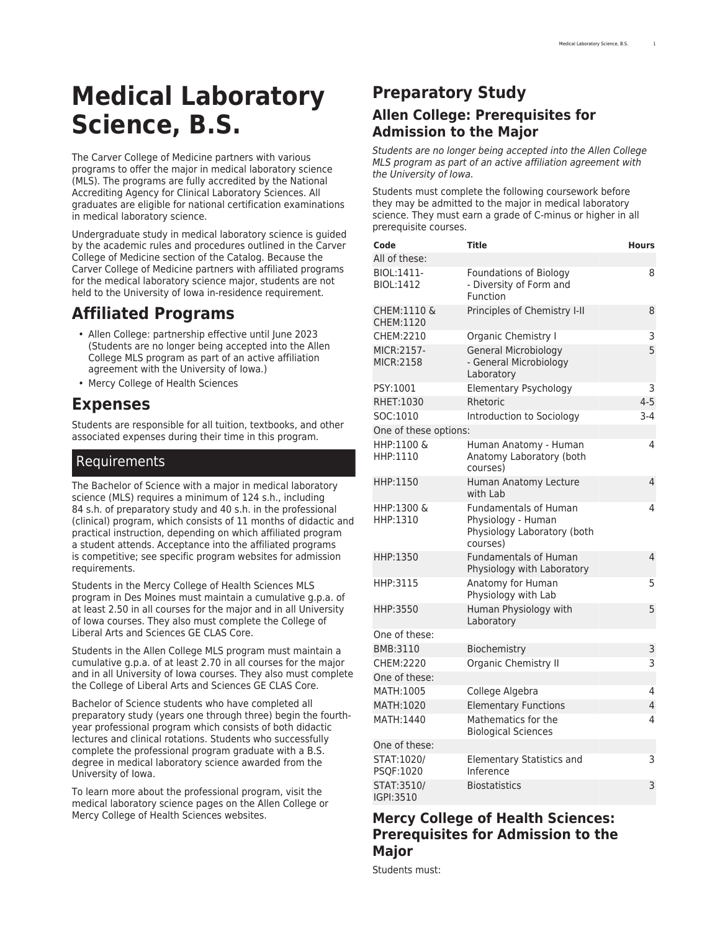# **Medical Laboratory Science, B.S.**

The Carver College of Medicine partners with various programs to offer the major in medical laboratory science (MLS). The programs are fully accredited by the [National](https://www.naacls.org/) [Accrediting Agency for Clinical Laboratory Sciences](https://www.naacls.org/). All graduates are eligible for national certification examinations in medical laboratory science.

Undergraduate study in medical laboratory science is guided by the [academic rules and procedures](http://catalog.registrar.uiowa.edu/carver-medicine/#undergraduaterulesandprocedurestext) outlined in the Carver College of Medicine section of the Catalog. Because the Carver College of Medicine partners with affiliated programs for the medical laboratory science major, students are not held to the University of Iowa in-residence requirement.

# **Affiliated Programs**

- [Allen College](https://www.allencollege.edu/medical-laboratory-science-mls.aspx): partnership effective until June 2023 (Students are no longer being accepted into the Allen College MLS program as part of an active affiliation agreement with the University of Iowa.)
- [Mercy College of Health Sciences](https://www.mchs.edu/Academics/Certificate-Programs/Medical-Laboratory-Science/)

### **Expenses**

Students are responsible for all tuition, textbooks, and other associated expenses during their time in this program.

#### Requirements

The Bachelor of Science with a major in medical laboratory science (MLS) requires a minimum of 124 s.h., including 84 s.h. of preparatory study and 40 s.h. in the professional (clinical) program, which consists of 11 months of didactic and practical instruction, depending on which affiliated program a student attends. Acceptance into the affiliated programs is competitive; see specific program websites for admission requirements.

Students in the Mercy College of Health Sciences MLS program in Des Moines must maintain a cumulative g.p.a. of at least 2.50 in all courses for the major and in all University of Iowa courses. They also must complete the College of Liberal Arts and Sciences [GE CLAS Core](https://catalog.registrar.uiowa.edu/liberal-arts-sciences/general-education-program/).

Students in the Allen College MLS program must maintain a cumulative g.p.a. of at least 2.70 in all courses for the major and in all University of Iowa courses. They also must complete the College of Liberal Arts and Sciences [GE CLAS Core.](https://catalog.registrar.uiowa.edu/liberal-arts-sciences/general-education-program/)

Bachelor of Science students who have completed all preparatory study (years one through three) begin the fourthyear professional program which consists of both didactic lectures and clinical rotations. Students who successfully complete the professional program graduate with a B.S. degree in medical laboratory science awarded from the University of Iowa.

To learn more about the professional program, visit the medical laboratory science pages on the [Allen College](https://www.allencollege.edu/medical-laboratory-science-mls.aspx) or [Mercy College of Health Sciences](https://www.mchs.edu/Academics/Certificate-Programs/Medical-Laboratory-Science/) websites.

## **Preparatory Study Allen College: Prerequisites for Admission to the Major**

*Students are no longer being accepted into the Allen College MLS program as part of an active affiliation agreement with the University of Iowa.*

Students must complete the following coursework before they may be admitted to the major in medical laboratory science. They must earn a grade of C-minus or higher in all prerequisite courses.

| Code                           | <b>Title</b>                                                                                  | <b>Hours</b>   |
|--------------------------------|-----------------------------------------------------------------------------------------------|----------------|
| All of these:                  |                                                                                               |                |
| BIOL:1411-<br><b>BIOL:1412</b> | <b>Foundations of Biology</b><br>- Diversity of Form and<br>Function                          | 8              |
| CHEM:1110 &<br>CHEM:1120       | Principles of Chemistry I-II                                                                  | 8              |
| CHEM:2210                      | Organic Chemistry I                                                                           | 3              |
| MICR:2157-<br>MICR:2158        | <b>General Microbiology</b><br>- General Microbiology<br>Laboratory                           | 5              |
| PSY:1001                       | Elementary Psychology                                                                         | 3              |
| RHET:1030                      | Rhetoric                                                                                      | $4 - 5$        |
| SOC:1010                       | Introduction to Sociology                                                                     | $3-4$          |
| One of these options:          |                                                                                               |                |
| HHP:1100 &<br>HHP:1110         | Human Anatomy - Human<br>Anatomy Laboratory (both<br>courses)                                 | 4              |
| HHP:1150                       | Human Anatomy Lecture<br>with Lab                                                             | 4              |
| HHP:1300 &<br>HHP:1310         | <b>Fundamentals of Human</b><br>Physiology - Human<br>Physiology Laboratory (both<br>courses) | 4              |
| HHP:1350                       | <b>Fundamentals of Human</b><br>Physiology with Laboratory                                    | 4              |
| HHP:3115                       | Anatomy for Human<br>Physiology with Lab                                                      | 5              |
| HHP:3550                       | Human Physiology with<br>Laboratory                                                           | 5              |
| One of these:                  |                                                                                               |                |
| BMB:3110                       | Biochemistry                                                                                  | 3              |
| CHEM:2220                      | Organic Chemistry II                                                                          | 3              |
| One of these:                  |                                                                                               |                |
| MATH:1005                      | College Algebra                                                                               | 4              |
| MATH:1020                      | <b>Elementary Functions</b>                                                                   | $\overline{4}$ |
| MATH:1440                      | Mathematics for the<br><b>Biological Sciences</b>                                             | 4              |
| One of these:                  |                                                                                               |                |
| STAT:1020/<br>PSQF:1020        | Elementary Statistics and<br>Inference                                                        | 3              |
| STAT: 3510/<br>IGPI:3510       | <b>Biostatistics</b>                                                                          | 3              |

#### **Mercy College of Health Sciences: Prerequisites for Admission to the Major**

Students must: